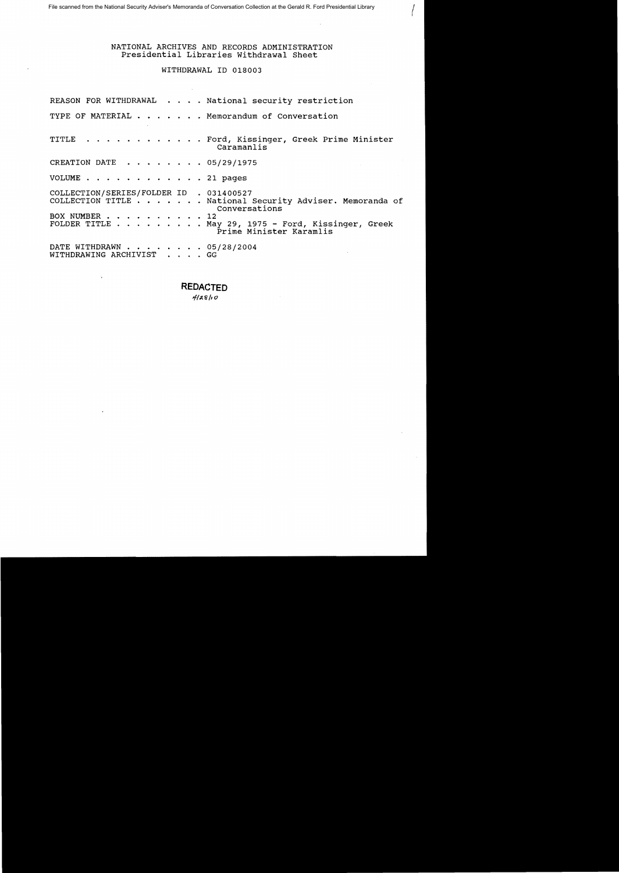# NATIONAL ARCHIVES AND RECORDS ADMINISTRATION Presidential Libraries withdrawal Sheet

 $\sqrt{ }$ 

# WITHDRAWAL ID 018003

|                                                             | REASON FOR WITHDRAWAL National security restriction                                                                                                                 |
|-------------------------------------------------------------|---------------------------------------------------------------------------------------------------------------------------------------------------------------------|
|                                                             | TYPE OF MATERIAL Memorandum of Conversation                                                                                                                         |
|                                                             | TITLE Ford, Kissinger, Greek Prime Minister<br>Caramanlis                                                                                                           |
| CREATION DATE 05/29/1975                                    |                                                                                                                                                                     |
| VOLUME $\ldots$ , $\ldots$ , $\ldots$ , $\ldots$ , 21 pages |                                                                                                                                                                     |
| COLLECTION/SERIES/FOLDER ID . 031400527<br>BOX NUMBER 12    | COLLECTION TITLE National Security Adviser. Memoranda of<br>Conversations<br>FOLDER TITLE $\ldots$ May 29, 1975 - Ford, Kissinger, Greek<br>Prime Minister Karamlis |
| DATE WITHDRAWN 05/28/2004<br>WITHDRAWING ARCHIVIST GG       |                                                                                                                                                                     |

**REDACTED**  1/;{'&/I *0* 

 $\sim$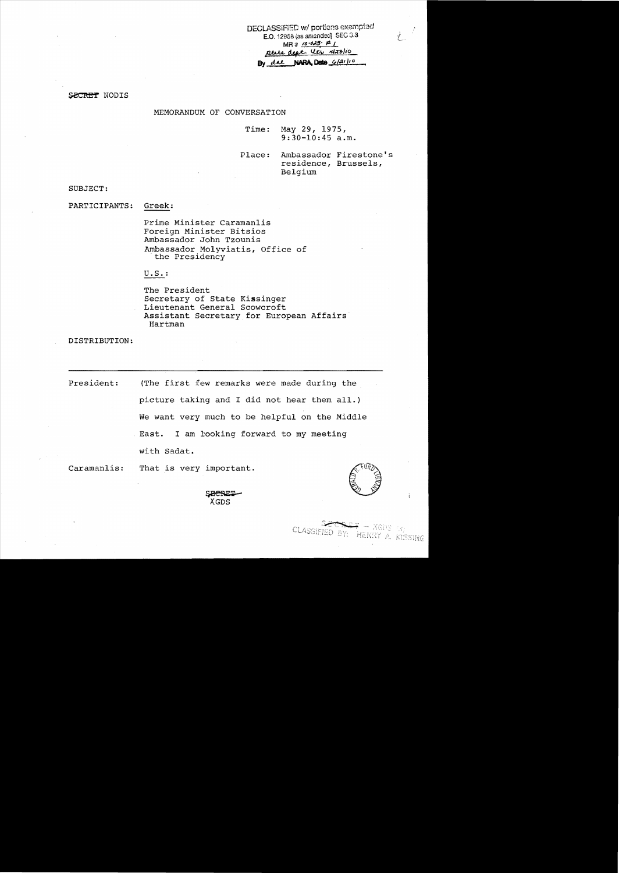DECLASSiFiED wI portions exemptod **E.O.** 12958 (as amended) SEC 3.3<br>MR  $\#$  /0-045 ptite deat. Utr 428/10 By due NARA Dete 6/21/10

L

SECRET NODIS

MEMORANDUM OF CONVERSATION

Time: May 29, 1975, 9:30-10:45 a.m.

Place: Ambassador Firestone's residence, Brussels, Belgium

SUBJECT:

PARTICIPANTS: Greek:

> Prime Minister Caramanlis Foreign Minister Bitsios Ambassador John Tzounis Ambassador Molyviatis, Office of<br>the Presidency

U. S. :

The President Secretary of State Kissinger Lieutenant General Scowcroft Assistant Secretary for European Affairs Hartman

DISTRIBUTION:

President: (The first few remarks were made during the picture taking and I did not hear them all.) We want very much to be helpful on the Middle East. I am £ooking forward to my meeting with Sadat.

Caramanlis: That is very important.

CLASSIEIED BY: HENRY A. KISSING

 $-$  XGDS  $\gamma_0$ 

rmportant.<br>S<del>ECRET</del><br>XGDS XGDS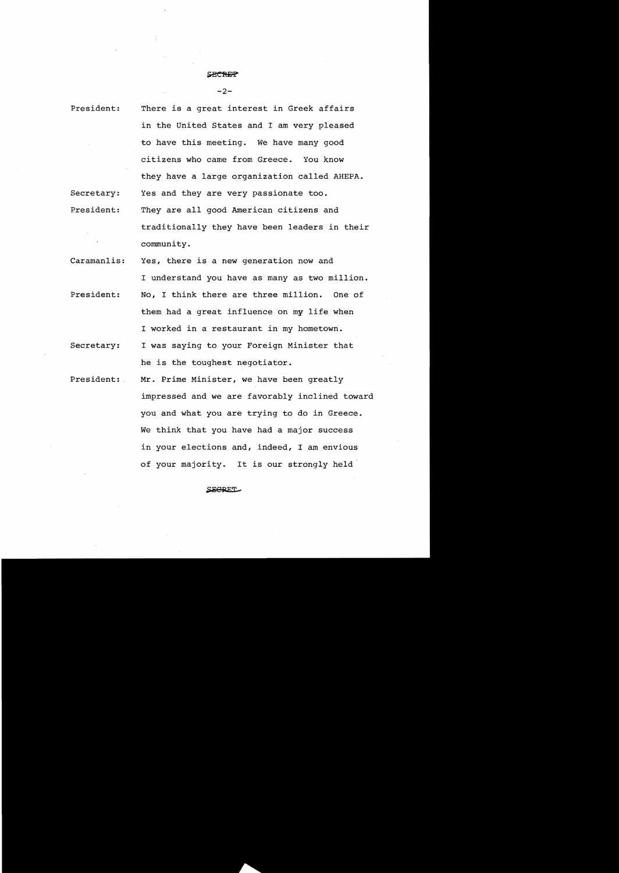$-2-$ 

President: secretary: President: There is a great interest in Greek affairs in the United States and I am very pleased to have this meeting. We have many good citizens who came from Greece. You know they have a large organization called AHEPA. Yes and they are very passionate too. They are all good American citizens and traditionally they have been leaders in their community.

- Caramanlis: President: Yes, there is a new generation now and I understand you have as many as two million. No, I think there are three million. One of
- them had a great influence on my life when I worked in a restaurant in my hometown.
- secretary: I was saying to your Foreign Minister that he is the toughest negotiator.

President: Mr. Prime Minister, we have been greatly impressed and we are favorably inclined toward you and what you are trying to do in Greece. We think that you have had a major success in your elections and, indeed, I am envious of your majority. It is our strongly held'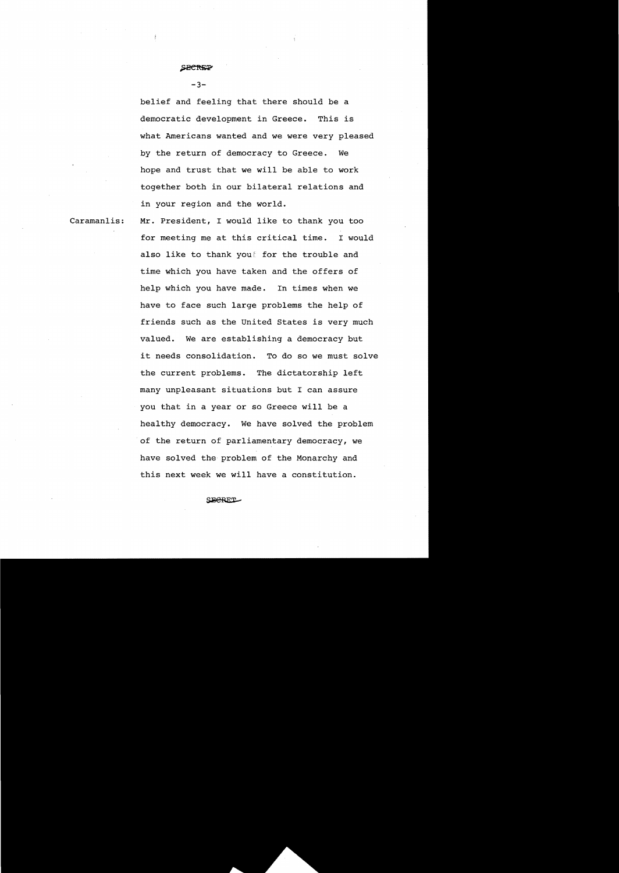# *<u>SHCREP</u>*

#### $-3-$

belief and feeling that there should be a democratic development in Greece. This is what Americans wanted and we were very pleased by the return of democracy to Greece. We hope and trust that we will be able to work together both in our bilateral relations and in your region and the world.

Caramanlis:

Mr. President, I would like to thank you too for meeting me at this critical time. I would also like to thank youf for the trouble and time which you have taken and the offers of help which you have made. In times when we have to face such large problems the help of friends such as the United States is very much valued. We are establishing a democracy but it needs consolidation. To do so we must solve the current problems. The dictatorship left many unpleasant situations but I can assure you that in a year or so Greece will be a healthy democracy. We have solved the problem of the return of parliamentary democracy, we have solved the problem of the Monarchy and this next week we will have a constitution.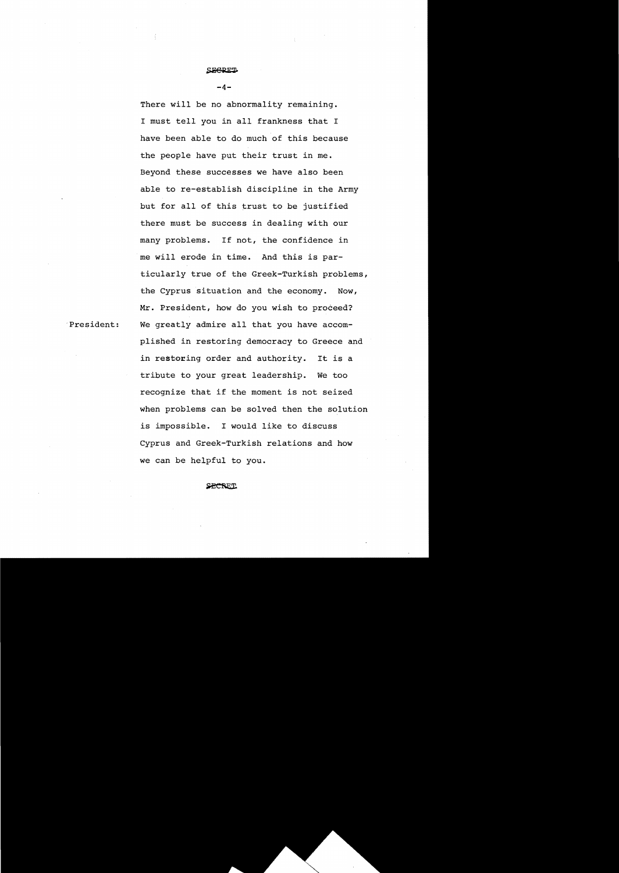$-4-$ 

There will be no abnormality remaining. I must tell you in all frankness that I have been able to do much of this because the people have put their trust in me. Beyond these successes we have also been able to re-establish discipline in the Army but for all of this trust to be justified there must be success in dealing with our many problems. If not, the confidence in me will erode in time. And this is particularly true of the Greek-Turkish problems, the Cyprus situation and the economy. Now, Mr. President, how do you wish to proceed? We greatly admire all that you have accomplished in restoring democracy to Greece and in restoring order and authority. It is a tribute to your great leadership. We too recognize that if the moment is not seized when problems can be solved then the solution is impossible. I would like to discuss Cyprus and Greek-Turkish relations and how we can be helpful to you.

#### **SECRET**

.President: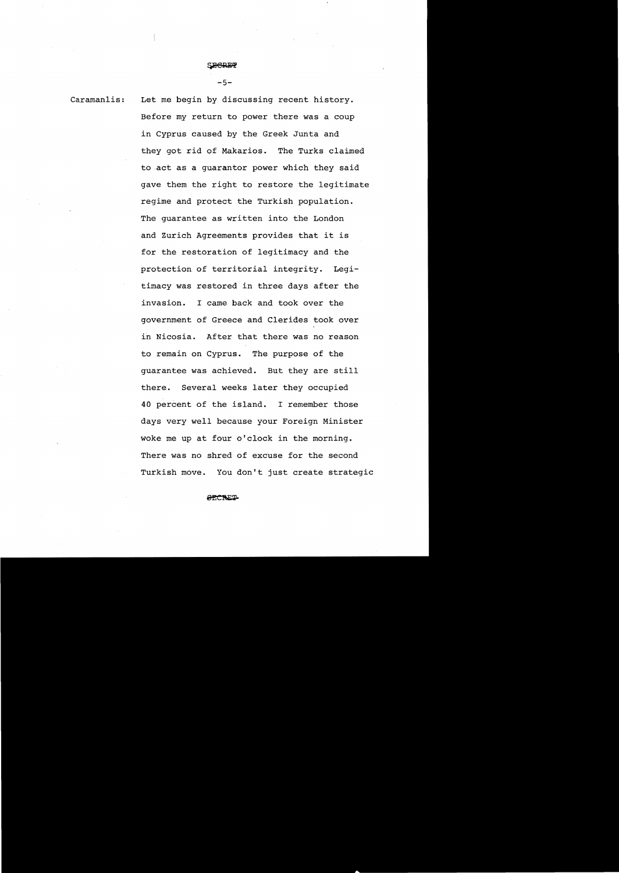# $~\leq$  beref

 $-5-$ 

Caramanlis: Let me begin by discussing recent history. Before my return to power there was a coup in Cyprus caused by the Greek Junta and they got rid of Makarios. The Turks claimed to act as a guarantor power which they said gave them the right to restore the legitimate regime and protect the Turkish population. The guarantee as written into the London and Zurich Agreements provides that it is for the restoration of legitimacy and the protection of territorial integrity. Legitimacy was restored in three days after the invasion. I came back and took over the government of Greece and Clerides took over in Nicosia. After that there was no reason to remain on Cyprus. The purpose of the guarantee was achieved. But they are still there. Several weeks later they occupied 40 percent of the island. I remember those days very well because your Foreign Minister woke me up at four o'clock in the morning. There was no shred of excuse for the second Turkish move. You don't just create strategic

**GECRET**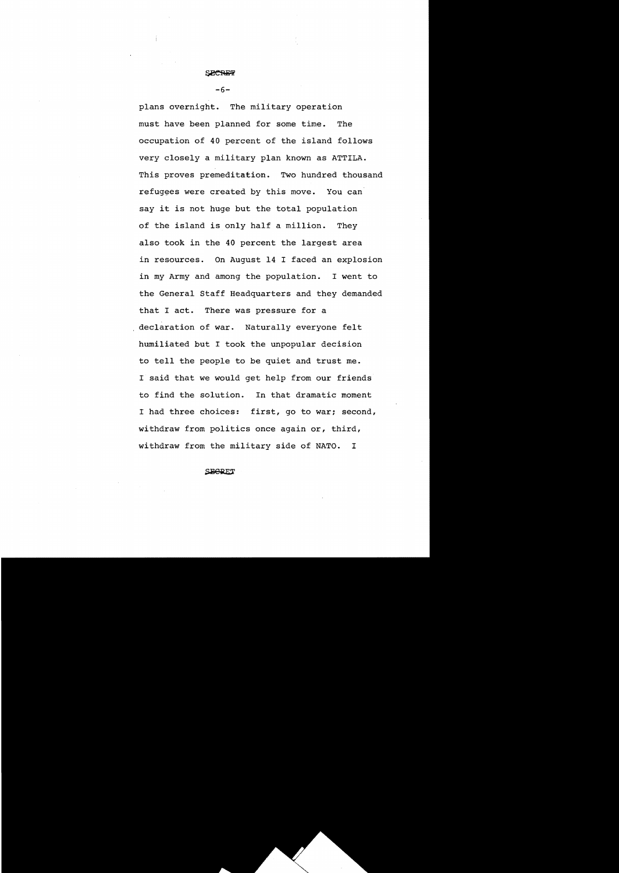$-6-$ 

plans overnight. The military operation must have been planned for some time. The occupation of 40 percent of the island follows very closely a military plan known as ATTlLA. This proves premeditation. Two hundred thousand refugees were created by this move. You can say it is not huge but the total population of the island is only half a million. They also took in the 40 percent the largest area in resources. On August 14 I faced an explosion in my Army and among the population. I went to the General Staff Headquarters and they demanded that I act. There was pressure for a declaration of war. Naturally everyone felt humiliated but I took the unpopular decision to tell the people to be quiet and trust me. I said that we would get help from our friends to find the solution. In that dramatic moment I had three choices: first, go to war; second, withdraw from politics once again or, third, withdraw from the military side of NATO. I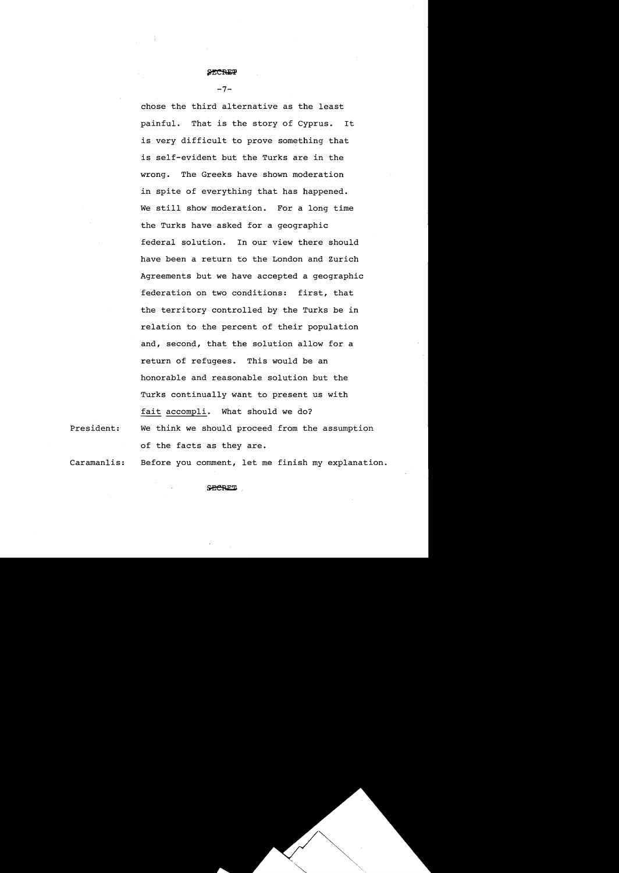$-7-$ 

chose the third alternative as the least painful. That is the story of Cyprus. It is very difficult to prove something that is self-evident but the Turks are in the wrong. The Greeks have shown moderation in spite of everything that has happened. We still show moderation. For a long time the Turks have asked for a geographic federal solution. In our view there should have been a return to the London and Zurich Agreements but we have accepted a geographic federation on two conditions: first, that the territory controlled by the Turks be in relation to the percent of their population and, second, that the solution allow for a return of refugees. This would be an honorable and reasonable solution but the Turks continually want to present us with fait accompli. What should we do? We think we should proceed from the assumption of the facts as they are.

President:

Caramanlis: Before you comment, let me finish my explanation.

..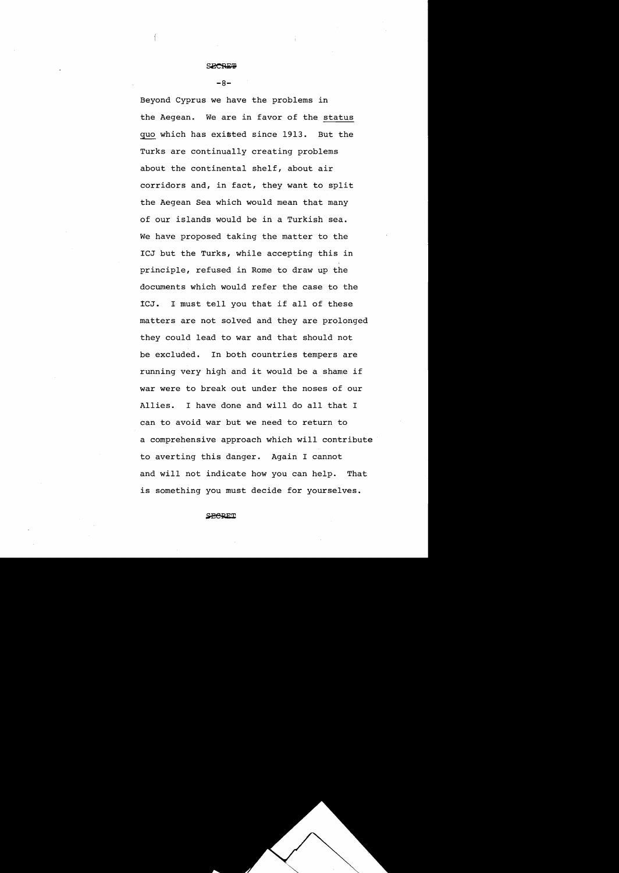# ~

 $-8-$ 

Beyond Cyprus we have the problems in the Aegean. We are in favor of the status quo which has existed since 1913. But the Turks are continually creating problems about the continental shelf, about air corridors and, in fact, they want to split the Aegean Sea which would mean that many of our islands would be in a Turkish sea. We have proposed taking the matter to the ICJ but the Turks, while accepting this in principle, refused in Rome to draw up the documents which would refer the case to the iCJ. I must tell you that if all of these matters are not solved and they are prolonged they could lead to war and that should not be excluded. In both countries tempers are running very high and it would be a shame if war were to break out under the noses of our Allies. I have done and will do all that I can to avoid war but we need to return to a comprehensive approach which will contribute to averting this danger. Again I cannot and will not indicate how you can help. That is something you must decide for yourselves.

**SHERET**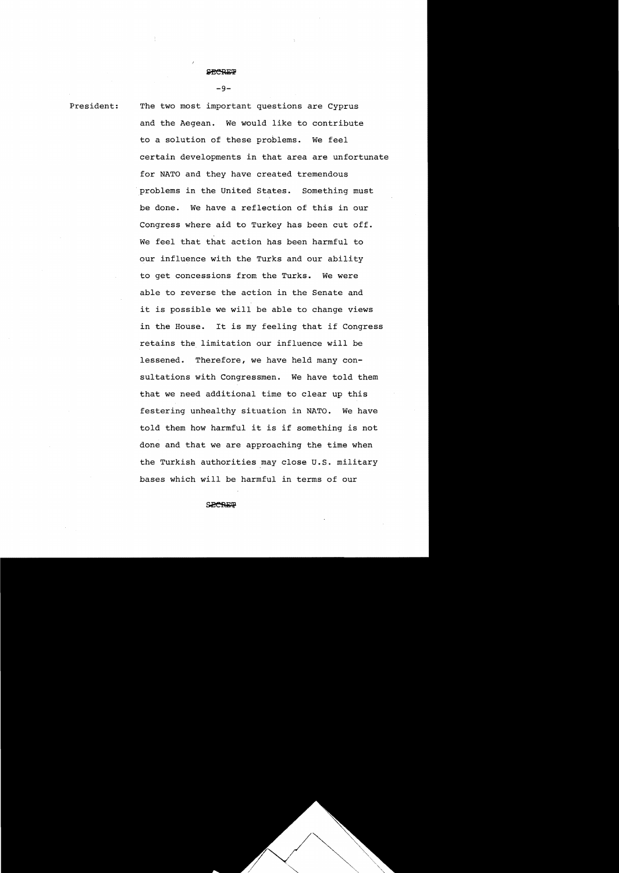$-9-$ 

President: The two most important questions are Cyprus and the Aegean. We would like to contribute to a solution of these problems. We feel certain developments in that area are unfortunate for NATO and they have created tremendous problems in the united States. Something must be done. We have a reflection of this in our Congress where aid to Turkey has been cut off. We feel that that action has been harmful to our influence with the Turks and our ability to get concessions from the Turks. We were able to reverse the action in the Senate and it is possible we will be able to change views in the House. It is my feeling that if Congress retains the limitation our influence will be lessened. Therefore, we have held many consultations with Congressmen. We have told them that we need additional time to clear up this festering unhealthy situation in NATO. We have told them how harmful it is if something is not done and that we are approaching the time when the Turkish authorities may close U.S. military bases which will be harmful in terms of our

#### **SPORTP**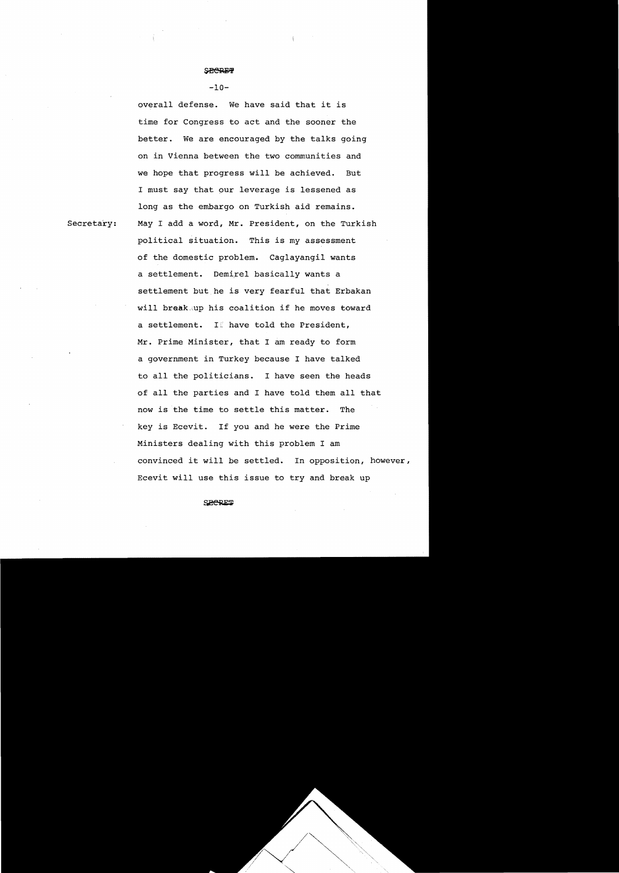#### $-10-$

overall defense. We have said that it is time for Congress to act and the sooner the better. We are encouraged by the talks going on in Vienna between the two communities and we hope that progress will be achieved. But I must say that pur leverage is lessened as long as the embargo on Turkish aid remains. May I add a word, Mr. President, on the Turkish political situation. This is my assessment of the domestic problem. Caglayangil wants a settlement. Demirel basically wants a settlement but,he is very fearful that Erbakan will break, up his coalition if he moves toward a settlement. If have told the President, Mr. Prime Minister, that I am ready to form a government in Turkey because I have talked to all the politicians. I have seen the heads of all the parties and I have told them all that now is the time to settle this matter. The key is Ecevit. If you and he were the Prime Ministers dealing with this problem I am convinced it will be settled. In opposition, however, Ecevit will use this issue to try and break up

Secretary: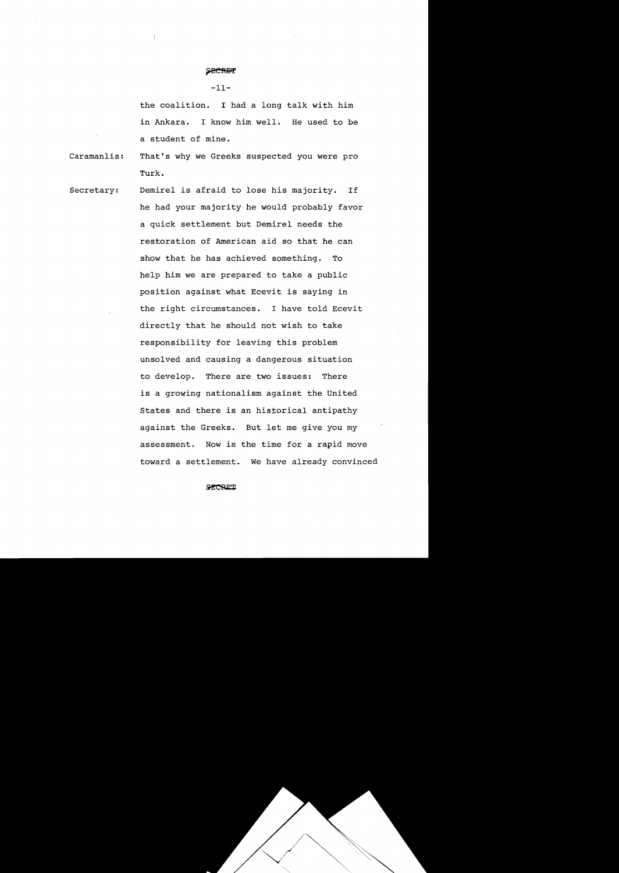-lI-

the coalition. I had a long talk with him in Ankara. I know him well. He used to be a student of mine.

Caramanlis: That's why we Greeks suspected you were pro Turk.

secretary: Demirel is afraid to lose his majority. If he had your majority he would probably favor a quick settlement but Demirel needs the restoration of American aid so that he can show that he has achieved something. To help him we are prepared to take a public position against what Ecevit is saying in the right circumstances. I have told Ecevit directly that he should not wish to take responsibility for leaving this problem unsolved and causing a dangerous situation to develop. There are two issues: There is a growing nationalism against the United States and there is an historical antipathy against the Greeks. But let me give you my assessment. Now is the time for a rapid move toward a settlement. We have already convinced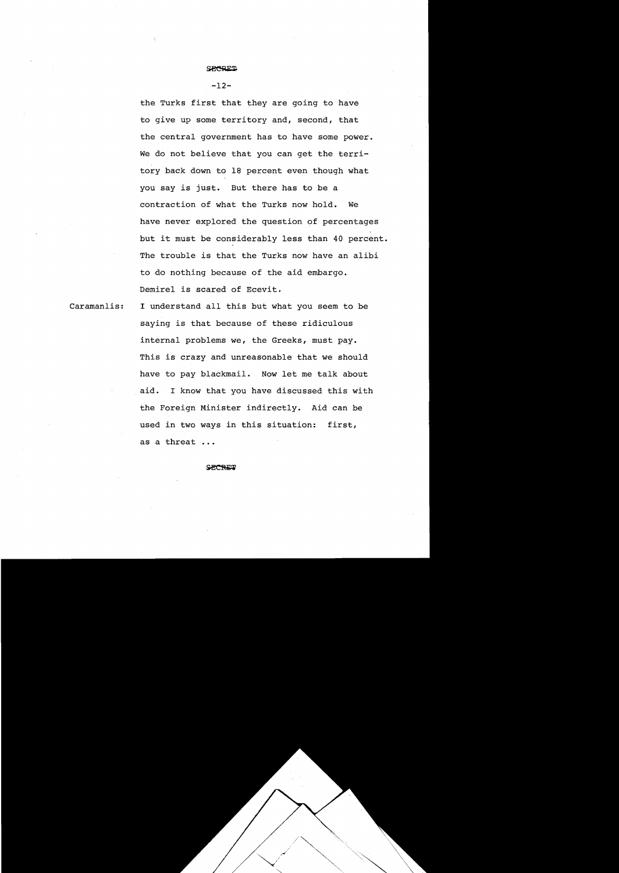# the Turks first that they are going to have to give up some territory and, second, that the central government has to have some power. We do not believe that you can get the territory back down to 18 percent even though what you say is just. But there has to be a contraction of what the Turks now hold. We have never explored the question of percentages but it must be considerably less than 40 percent. The trouble is that the Turks now have an alibi to do nothing because of the aid embargo. Demirel is scared of Ecevit.

Caramanlis:

I understand all this but what you seem to be saying is that because of these ridiculous internal problems we, the Greeks, must pay. This is crazy and unreasonable that we should have to pay blackmail. Now let me talk about aid. I know that you have discussed this with the Foreign Minister indirectly. Aid can be used in two ways in this situation: first, as a threat

#### **SPORTS**

#### **SECRET**

**-12**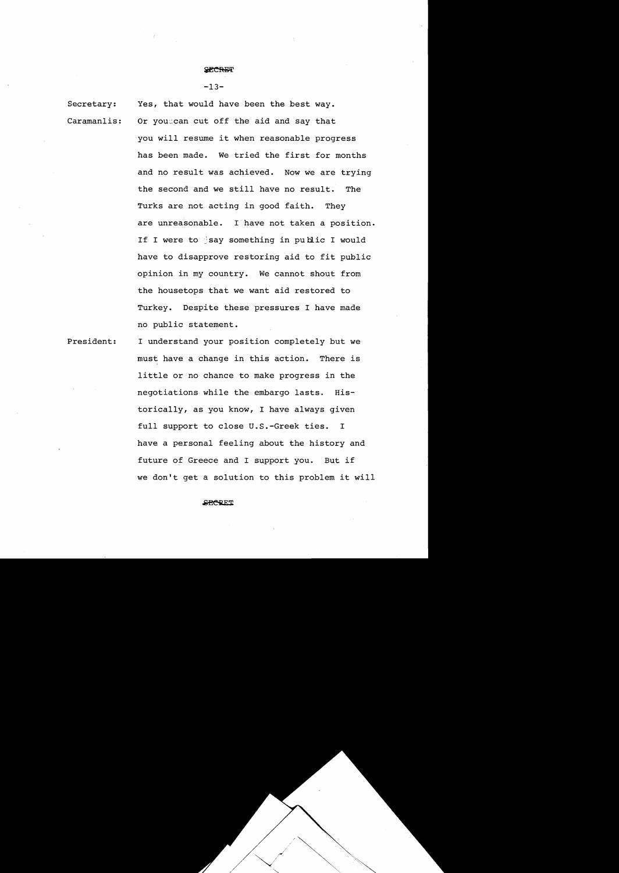$-13-$ 

Secretary: Caramanlis: Yes, that would have been the best way. Or you: can cut off the aid and say that you will resume it when reasonable progress has been made. We tried the first for months and no result was achieved. Now we are trying the second and we still have no result. The Turks are not acting in good faith. They are unreasonable. I have not taken a position. If I were to  $\frac{1}{3}$  something in public I would have to disapprove restoring aid to fit public opinion in my country. We cannot shout from the housetops that we want aid restored to Turkey. Despite these pressures I have made

President: I understand your position completely but we must have a change in this action. There is little or no chance to make progress in the negotiations while the embargo lasts. Historically, as you know, I have always given full support to close U.S.-Greek ties. I have a personal feeling about the history and future of Greece and I support you. But if we don't get a solution to this problem it will

no public statement.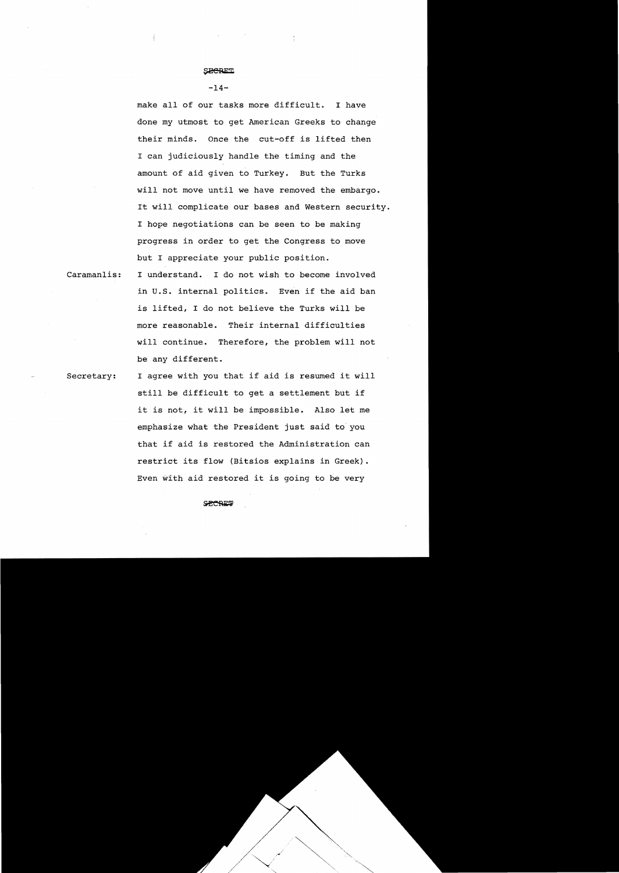## $-14-$

make all of our tasks more difficult. I have done my utmost to get American Greeks to change their minds. Once the cut-off is lifted then I can judiciously handle the timing and the amount of aid given to Turkey. But the Turks will not move until we have removed the embargo. It will complicate our bases and Western security. I hope negotiations can be seen to be making progress in order to get the Congress to move but I appreciate your public position.

 $\frac{\pi}{2}$ 

Caramanlis: I understand. I do not wish to become involved in u.S. internal politics. Even if the aid ban is lifted, I do not believe the Turks will be more reasonable. Their internal difficulties will continue. Therefore, the problem will not be any different.

Secretary: I agree with you that if aid is resumed it will still be difficult to get a settlement but if it is not, it will be impossible. Also let me emphasize what the President just said to you that if aid is restored the Administration can restrict its flow (Bitsios explains in Greek). Even with aid restored it is going to be very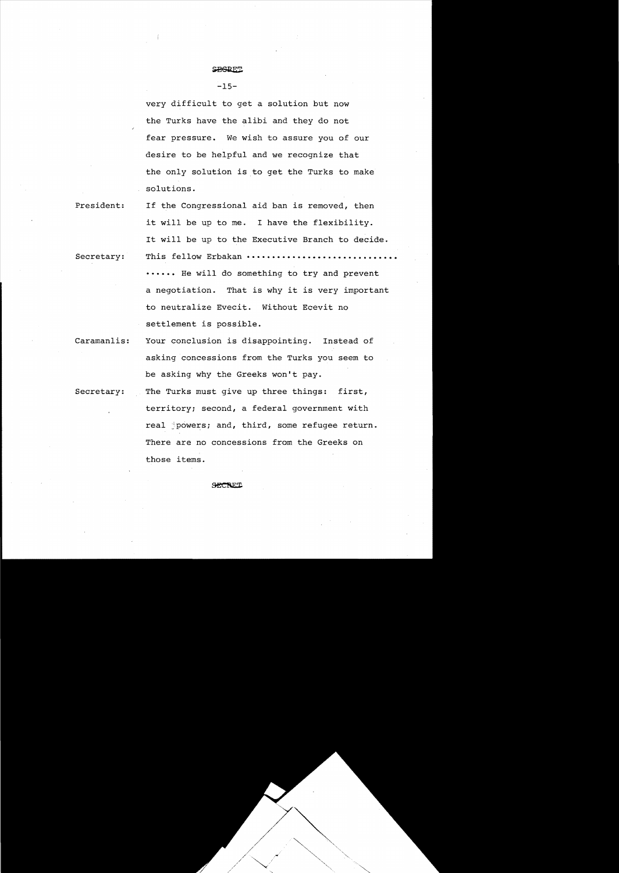# **SPGRET!**

 $-15-$ 

very difficult to get a solution but now the Turks have the alibi and they do not fear pressure. We wish to assure you of our desire to be helpful and we recognize that the only solution is to get the Turks to make solutions.

- President: If the Congressional aid ban is removed, then it will be up to me. I have the flexibility. It will be up to the Executive Branch to decide.
- Secretary: This fellow Erbakan **••••••••••••••••••• ••••••** He will do something to try and prevent a negotiation. That is why it is very important to neutralize Evecit. Without Ecevit no settlement is possible.
- Caramanlis: Your conclusion is disappointing. Instead of asking concessions from the Turks you seem to be asking why the Greeks won't pay.
- Secretary: The Turks must give up three things: first, territory; second, a federal government with real powers; and, third, some refugee return. There are no concessions from the Greeks on those items.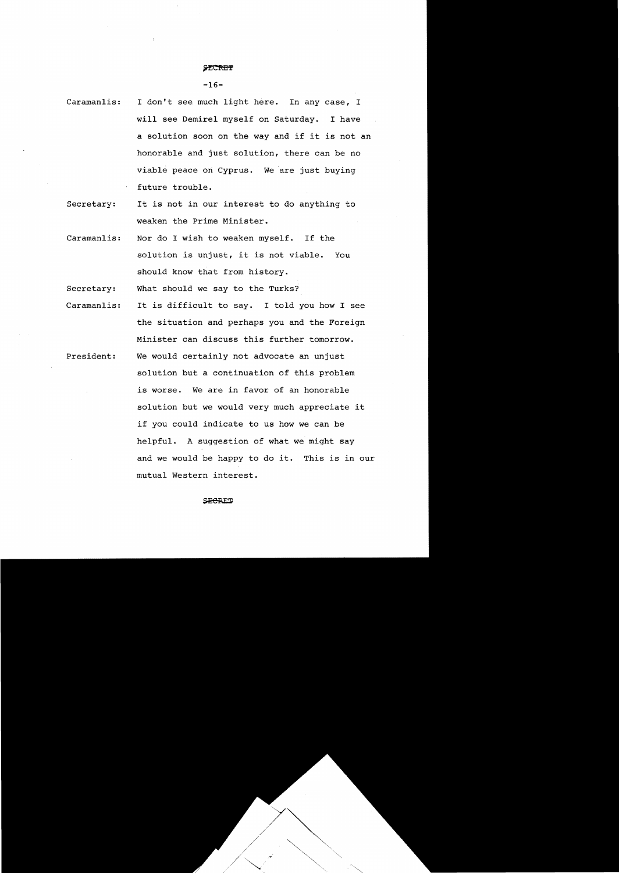## $-16-$

- Caramanlis: I don't see much light here. In any case, I will see Demirel myself on Saturday. I have a solution soon on the way and if it is not an honorable and just solution, there can be no viable peace on Cyprus. We are just buying future trouble.
- Secretary: It is not in our interest to do anything to weaken the Prime Minister.
- Caramanlis: Nor do I wish to weaken myself. If the solution is unjust, it is not viable. You should know that from history.

Secretary: What should we say to the Turks?

Caramanlis: President: It is difficult to say. I told you how I see the situation and perhaps you and the Foreign Minister can discuss this further tomorrow. We would certainly not advocate an unjust solution but a continuation of this problem is worse. We are in favor of an honorable solution but we would very much appreciate it if you could indicate to us how we can be helpful. A suggestion of what we might say and we would be happy to do it. This is in our mutual Western interest.

### **SHERET**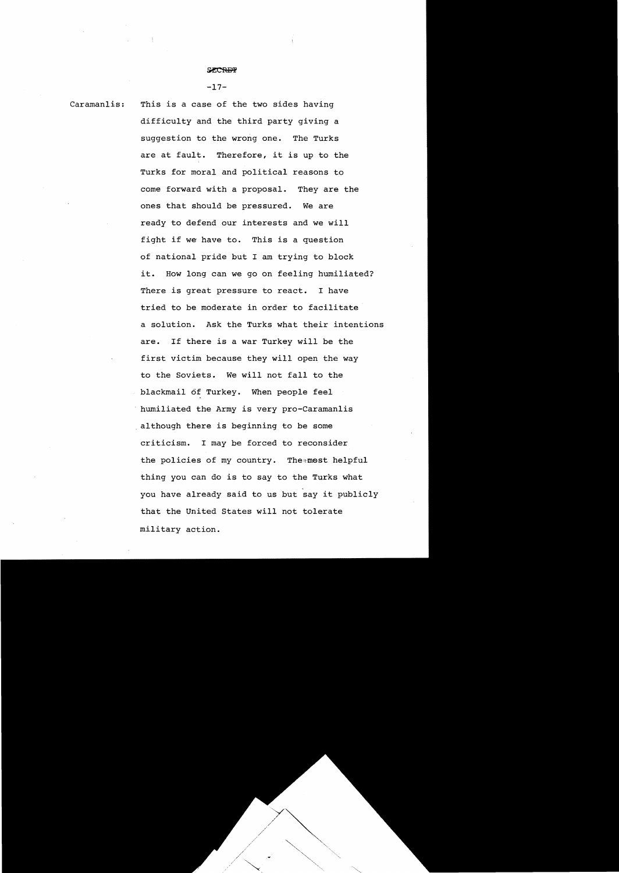#### $-17-$

Caramanlis: This is a case of the two sides having difficulty and the third party giving a suggestion to the wrong one. The Turks are at fault. Therefore, it is up to the Turks for moral and political reasons to come forward with a proposal. They are the ones that should be pressured. We are ready to defend our interests and we will fight if we have to. This is a question of national pride but I am trying to block it. How long can we go on feeling humiliated? There is great pressure to react. I have tried to be moderate in order to facilitate' a solution. Ask the Turks what their intentions are. If there is a war Turkey will be the first victim because they will open the way to the Soviets. We will not fall to the blackmail of Turkey. When people feel humiliated the Army is very pro-Caramanlis although there is beginning to be some criticism. I may be forced to reconsider the policies of my country. The most helpful thing you can do is to say to the Turks what you have already said to us but say it publicly that the United States will not tolerate military action.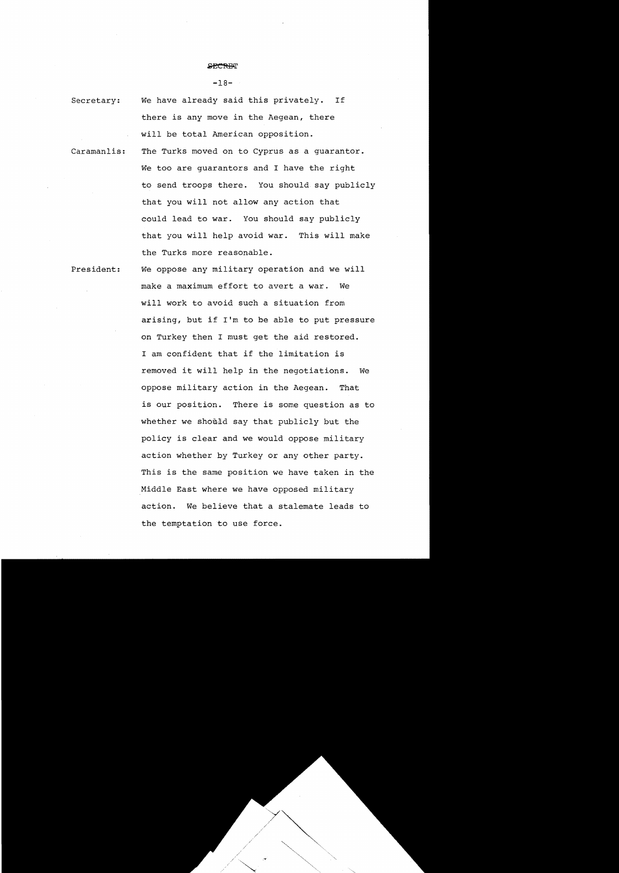#### **SPORTIT**

#### $-18-$

Secretary: We have already said this privately. If there is any move in the Aegean, there will be total American opposition.

Caramanlis: The Turks moved on to Cyprus as a guarantor. We too are quarantors and I have the right to send troops there. You should say publicly that you will not allow any action that could lead to war. You should say publicly that you will help avoid war. This will make the Turks more reasonable.

President: We oppose any military operation and we will make a maximum effort to avert a war. We will work to avoid such a situation from arising, but if I'm to be able to put pressure on Turkey then I must get the aid restored. I am confident that if the limitation is removed it will help in the negotiations. We oppose military action in the Aegean. That is our position. There is some question as to whether we should say that publicly but the policy is clear and we would oppose military action whether by Turkey or any other party. This is the same position we have taken in the Middle East where we have opposed military action. We believe that a stalemate leads to the temptation to use force.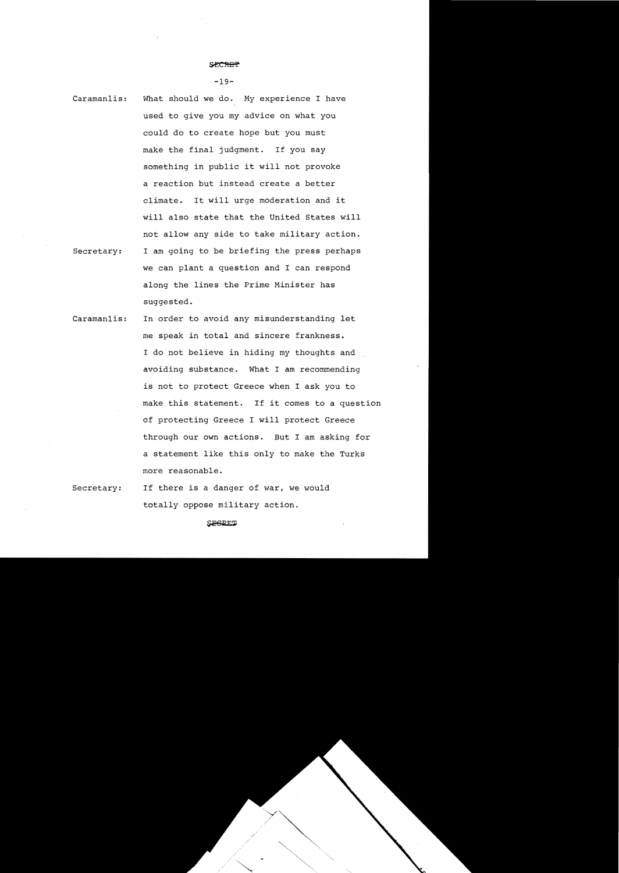#### **SECREF**

 $-19-$ 

Caramanlis: What should we do. My experience I have used to give you my advice on what you could do to create hope but you must make the final judgment. If you say something in public it will not provoke a reaction but instead create a better climate. It will urge moderation and it will also state that the United States will not allow any side to take military action. Secretary: I am going to be briefing the press perhaps we can plant a question and I can respond along the lines the Prime Minister has suggested.

- Caramanlis: In order to avoid any misunderstanding let me speak in total and sincere frankness. I do not believe in hiding my thoughts and avoiding substance. What I am recommending is not to protect Greece when I ask you to make this statement. If it comes to a question of protecting Greece I will protect Greece through our own actions. But I am asking for a statement like this only to make the Turks more reasonable.
- Secretary: If there is a danger of war, we would totally oppose military action.

SESRET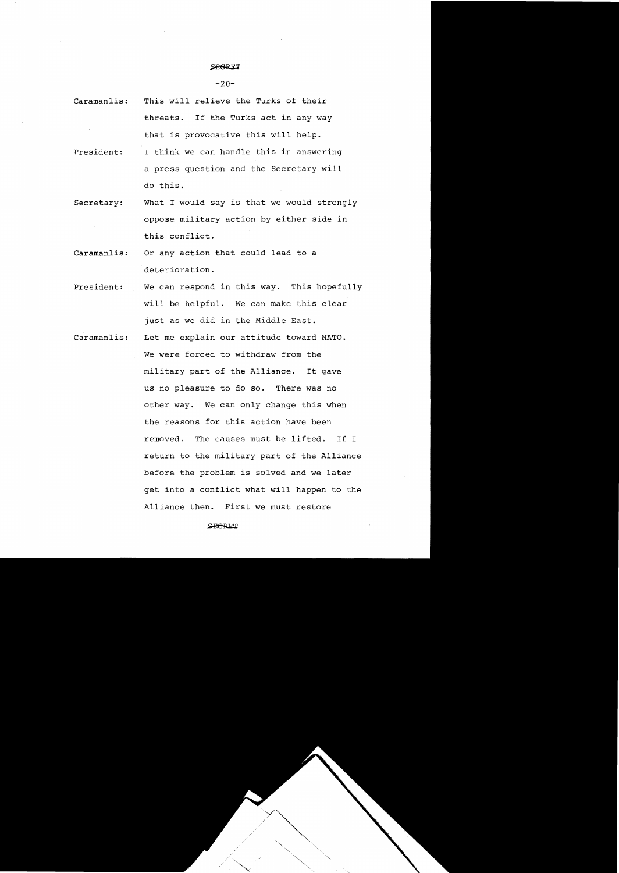#### **SPRRET**

 $-20-$ 

- Caramanlis: This will relieve the Turks of their threats. If the Turks act in any way that is provocative this will help.
- President: I think we can handle this in answering a press question and the Secretary will do this.
- Secretary: What I would say is that we would strongly oppose military action by either side in this conflict.
- Caramanlis: Or any action that could lead to a deterioration.
- President: We can respond in this way. This hopefully will be helpful. We can make this clear just as we did in the Middle East.
- Caramanlis: Let me explain our attitude toward NATO. We were forced to withdraw from the military part of the Alliance. It gave us no pleasure to do so. There was no other way. We can only change this when the reasons for this action have been removed. The causes must be lifted. If I return to the military part of the Alliance before the problem is solved and we later get into a conflict what will happen to the Alliance then. First we must restore

SHORET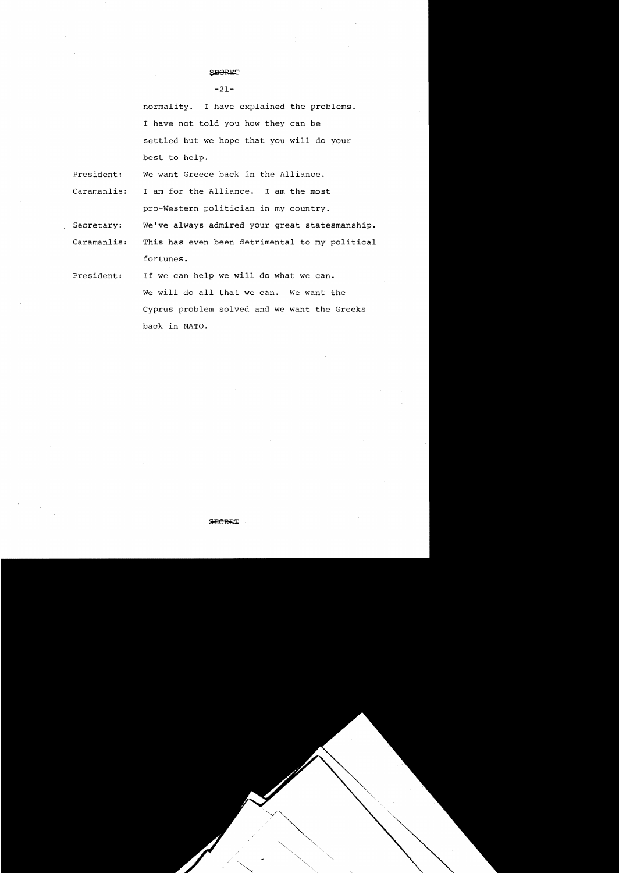$-21-$ 

normality. I have explained the problems. I have not told you how they can be settled but we hope that you will do your best to help.

President: We want Greece back in the Alliance.

Caramanlis: I am for the Alliance. I am the most pro-Western politician in my country.

Secretary: We've always admired your great statesmanship.

Caramanlis: This has even been detrimental to my political fortunes.

President: If we can help we will do what we can. We will do all that we can. We want the Cyprus problem solved and we want the Greeks back in NATO.